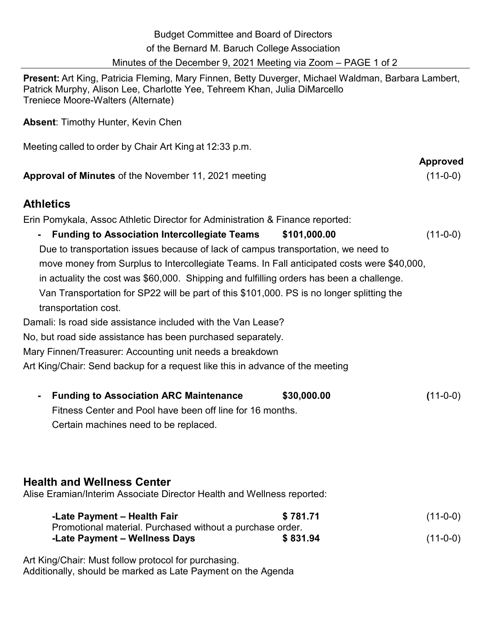| <b>Budget Committee and Board of Directors</b><br>of the Bernard M. Baruch College Association<br>Minutes of the December 9, 2021 Meeting via Zoom – PAGE 1 of 2                                                                                                                                                                                                                                                                                                                                                                                                                                                                                                                                                                                                                                                     |              |                               |
|----------------------------------------------------------------------------------------------------------------------------------------------------------------------------------------------------------------------------------------------------------------------------------------------------------------------------------------------------------------------------------------------------------------------------------------------------------------------------------------------------------------------------------------------------------------------------------------------------------------------------------------------------------------------------------------------------------------------------------------------------------------------------------------------------------------------|--------------|-------------------------------|
| Present: Art King, Patricia Fleming, Mary Finnen, Betty Duverger, Michael Waldman, Barbara Lambert,<br>Patrick Murphy, Alison Lee, Charlotte Yee, Tehreem Khan, Julia DiMarcello<br>Treniece Moore-Walters (Alternate)                                                                                                                                                                                                                                                                                                                                                                                                                                                                                                                                                                                               |              |                               |
| <b>Absent: Timothy Hunter, Kevin Chen</b>                                                                                                                                                                                                                                                                                                                                                                                                                                                                                                                                                                                                                                                                                                                                                                            |              |                               |
| Meeting called to order by Chair Art King at 12:33 p.m.                                                                                                                                                                                                                                                                                                                                                                                                                                                                                                                                                                                                                                                                                                                                                              |              |                               |
| <b>Approval of Minutes of the November 11, 2021 meeting</b>                                                                                                                                                                                                                                                                                                                                                                                                                                                                                                                                                                                                                                                                                                                                                          |              | <b>Approved</b><br>$(11-0-0)$ |
| <b>Athletics</b>                                                                                                                                                                                                                                                                                                                                                                                                                                                                                                                                                                                                                                                                                                                                                                                                     |              |                               |
| Erin Pomykala, Assoc Athletic Director for Administration & Finance reported:<br><b>Funding to Association Intercollegiate Teams</b><br>Due to transportation issues because of lack of campus transportation, we need to<br>move money from Surplus to Intercollegiate Teams. In Fall anticipated costs were \$40,000,<br>in actuality the cost was \$60,000. Shipping and fulfilling orders has been a challenge.<br>Van Transportation for SP22 will be part of this \$101,000. PS is no longer splitting the<br>transportation cost.<br>Damali: Is road side assistance included with the Van Lease?<br>No, but road side assistance has been purchased separately.<br>Mary Finnen/Treasurer: Accounting unit needs a breakdown<br>Art King/Chair: Send backup for a request like this in advance of the meeting | \$101,000.00 | $(11-0-0)$                    |
| <b>Funding to Association ARC Maintenance</b><br>Fitness Center and Pool have been off line for 16 months.<br>Certain machines need to be replaced.                                                                                                                                                                                                                                                                                                                                                                                                                                                                                                                                                                                                                                                                  | \$30,000.00  | $(11-0-0)$                    |
| <b>Health and Wellness Center</b><br>Alise Eramian/Interim Associate Director Health and Wellness reported:                                                                                                                                                                                                                                                                                                                                                                                                                                                                                                                                                                                                                                                                                                          |              |                               |
| -Late Payment - Health Fair                                                                                                                                                                                                                                                                                                                                                                                                                                                                                                                                                                                                                                                                                                                                                                                          | \$781.71     | $(11-0-0)$                    |
| Promotional material. Purchased without a purchase order.<br>-Late Payment - Wellness Days                                                                                                                                                                                                                                                                                                                                                                                                                                                                                                                                                                                                                                                                                                                           | \$831.94     | $(11-0-0)$                    |
| Art King/Chair: Must follow protocol for purchasing.                                                                                                                                                                                                                                                                                                                                                                                                                                                                                                                                                                                                                                                                                                                                                                 |              |                               |

Additionally, should be marked as Late Payment on the Agenda